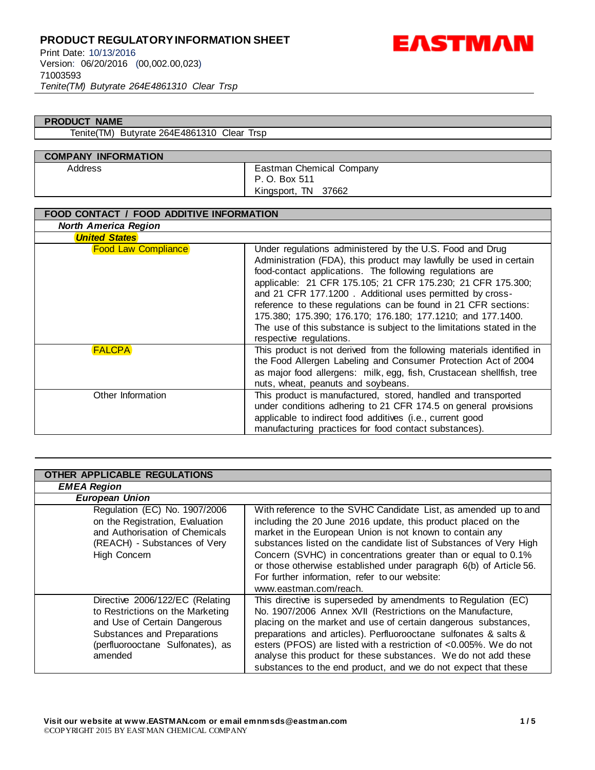*Tenite(TM) Butyrate 264E4861310 Clear Trsp*



#### **PRODUCT NAME**

Tenite(TM) Butyrate 264E4861310 Clear Trsp

### **COMPANY INFORMATION** Address **Eastman Chemical Company**

P. O. Box 511 Kingsport, TN 37662

| FOOD CONTACT / FOOD ADDITIVE INFORMATION |                                                                                                                                                                                                                                                                                                                                                                                                                                                                                                                                                             |
|------------------------------------------|-------------------------------------------------------------------------------------------------------------------------------------------------------------------------------------------------------------------------------------------------------------------------------------------------------------------------------------------------------------------------------------------------------------------------------------------------------------------------------------------------------------------------------------------------------------|
| <b>North America Region</b>              |                                                                                                                                                                                                                                                                                                                                                                                                                                                                                                                                                             |
| <b>United States</b>                     |                                                                                                                                                                                                                                                                                                                                                                                                                                                                                                                                                             |
| <b>Food Law Compliance</b>               | Under regulations administered by the U.S. Food and Drug<br>Administration (FDA), this product may lawfully be used in certain<br>food-contact applications. The following regulations are<br>applicable: 21 CFR 175.105; 21 CFR 175.230; 21 CFR 175.300;<br>and 21 CFR 177.1200. Additional uses permitted by cross-<br>reference to these regulations can be found in 21 CFR sections:<br>175.380; 175.390; 176.170; 176.180; 177.1210; and 177.1400.<br>The use of this substance is subject to the limitations stated in the<br>respective regulations. |
| <b>FALCPA</b>                            | This product is not derived from the following materials identified in<br>the Food Allergen Labeling and Consumer Protection Act of 2004<br>as major food allergens: milk, egg, fish, Crustacean shellfish, tree<br>nuts, wheat, peanuts and soybeans.                                                                                                                                                                                                                                                                                                      |
| Other Information                        | This product is manufactured, stored, handled and transported<br>under conditions adhering to 21 CFR 174.5 on general provisions<br>applicable to indirect food additives (i.e., current good<br>manufacturing practices for food contact substances).                                                                                                                                                                                                                                                                                                      |

| OTHER APPLICABLE REGULATIONS                                                                                                                                                      |                                                                                                                                                                                                                                                                                                                                                                                                                                                                                        |  |
|-----------------------------------------------------------------------------------------------------------------------------------------------------------------------------------|----------------------------------------------------------------------------------------------------------------------------------------------------------------------------------------------------------------------------------------------------------------------------------------------------------------------------------------------------------------------------------------------------------------------------------------------------------------------------------------|--|
| <b>EMEA Region</b>                                                                                                                                                                |                                                                                                                                                                                                                                                                                                                                                                                                                                                                                        |  |
| <b>European Union</b>                                                                                                                                                             |                                                                                                                                                                                                                                                                                                                                                                                                                                                                                        |  |
| Regulation (EC) No. 1907/2006<br>on the Registration, Evaluation<br>and Authorisation of Chemicals<br>(REACH) - Substances of Very<br>High Concern                                | With reference to the SVHC Candidate List, as amended up to and<br>including the 20 June 2016 update, this product placed on the<br>market in the European Union is not known to contain any<br>substances listed on the candidate list of Substances of Very High<br>Concern (SVHC) in concentrations greater than or equal to 0.1%<br>or those otherwise established under paragraph 6(b) of Article 56.<br>For further information, refer to our website:<br>www.eastman.com/reach. |  |
| Directive 2006/122/EC (Relating<br>to Restrictions on the Marketing<br>and Use of Certain Dangerous<br>Substances and Preparations<br>(perfluorooctane Sulfonates), as<br>amended | This directive is superseded by amendments to Regulation (EC)<br>No. 1907/2006 Annex XVII (Restrictions on the Manufacture,<br>placing on the market and use of certain dangerous substances,<br>preparations and articles). Perfluorooctane sulfonates & salts &<br>esters (PFOS) are listed with a restriction of <0.005%. We do not<br>analyse this product for these substances. We do not add these<br>substances to the end product, and we do not expect that these             |  |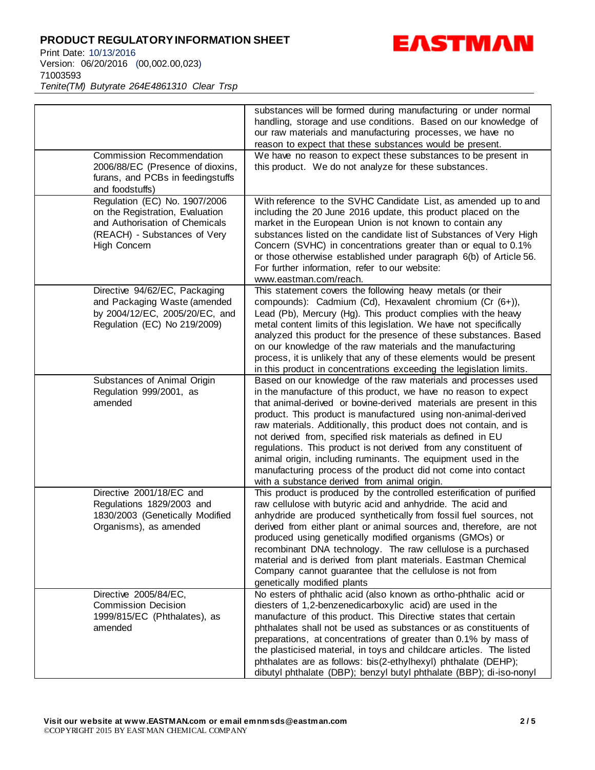Print Date: 10/13/2016 Version: 06/20/2016 (00,002.00,023) 71003593 *Tenite(TM) Butyrate 264E4861310 Clear Trsp*



| Commission Recommendation<br>2006/88/EC (Presence of dioxins,<br>furans, and PCBs in feedingstuffs                                                                    | substances will be formed during manufacturing or under normal<br>handling, storage and use conditions. Based on our knowledge of<br>our raw materials and manufacturing processes, we have no<br>reason to expect that these substances would be present.<br>We have no reason to expect these substances to be present in<br>this product. We do not analyze for these substances.                                                                                                                                                                                                                                                                                   |
|-----------------------------------------------------------------------------------------------------------------------------------------------------------------------|------------------------------------------------------------------------------------------------------------------------------------------------------------------------------------------------------------------------------------------------------------------------------------------------------------------------------------------------------------------------------------------------------------------------------------------------------------------------------------------------------------------------------------------------------------------------------------------------------------------------------------------------------------------------|
| and foodstuffs)<br>Regulation (EC) No. 1907/2006<br>on the Registration, Evaluation<br>and Authorisation of Chemicals<br>(REACH) - Substances of Very<br>High Concern | With reference to the SVHC Candidate List, as amended up to and<br>including the 20 June 2016 update, this product placed on the<br>market in the European Union is not known to contain any<br>substances listed on the candidate list of Substances of Very High<br>Concern (SVHC) in concentrations greater than or equal to 0.1%<br>or those otherwise established under paragraph 6(b) of Article 56.<br>For further information, refer to our website:<br>www.eastman.com/reach.                                                                                                                                                                                 |
| Directive 94/62/EC, Packaging<br>and Packaging Waste (amended<br>by 2004/12/EC, 2005/20/EC, and<br>Regulation (EC) No 219/2009)                                       | This statement covers the following heavy metals (or their<br>compounds): Cadmium (Cd), Hexavalent chromium (Cr (6+)),<br>Lead (Pb), Mercury (Hg). This product complies with the heavy<br>metal content limits of this legislation. We have not specifically<br>analyzed this product for the presence of these substances. Based<br>on our knowledge of the raw materials and the manufacturing<br>process, it is unlikely that any of these elements would be present<br>in this product in concentrations exceeding the legislation limits.                                                                                                                        |
| Substances of Animal Origin<br>Regulation 999/2001, as<br>amended                                                                                                     | Based on our knowledge of the raw materials and processes used<br>in the manufacture of this product, we have no reason to expect<br>that animal-derived or bovine-derived materials are present in this<br>product. This product is manufactured using non-animal-derived<br>raw materials. Additionally, this product does not contain, and is<br>not derived from, specified risk materials as defined in EU<br>regulations. This product is not derived from any constituent of<br>animal origin, including ruminants. The equipment used in the<br>manufacturing process of the product did not come into contact<br>with a substance derived from animal origin. |
| Directive 2001/18/EC and<br>Regulations 1829/2003 and<br>1830/2003 (Genetically Modified<br>Organisms), as amended                                                    | This product is produced by the controlled esterification of purified<br>raw cellulose with butyric acid and anhydride. The acid and<br>anhydride are produced synthetically from fossil fuel sources, not<br>derived from either plant or animal sources and, therefore, are not<br>produced using genetically modified organisms (GMOs) or<br>recombinant DNA technology. The raw cellulose is a purchased<br>material and is derived from plant materials. Eastman Chemical<br>Company cannot guarantee that the cellulose is not from<br>genetically modified plants                                                                                               |
| Directive 2005/84/EC,<br><b>Commission Decision</b><br>1999/815/EC (Phthalates), as                                                                                   | No esters of phthalic acid (also known as ortho-phthalic acid or<br>diesters of 1,2-benzenedicarboxylic acid) are used in the<br>manufacture of this product. This Directive states that certain                                                                                                                                                                                                                                                                                                                                                                                                                                                                       |

amended

phthalates shall not be used as substances or as constituents of preparations, at concentrations of greater than 0.1% by mass of the plasticised material, in toys and childcare articles. The listed phthalates are as follows: bis(2-ethylhexyl) phthalate (DEHP); dibutyl phthalate (DBP); benzyl butyl phthalate (BBP); di-iso-nonyl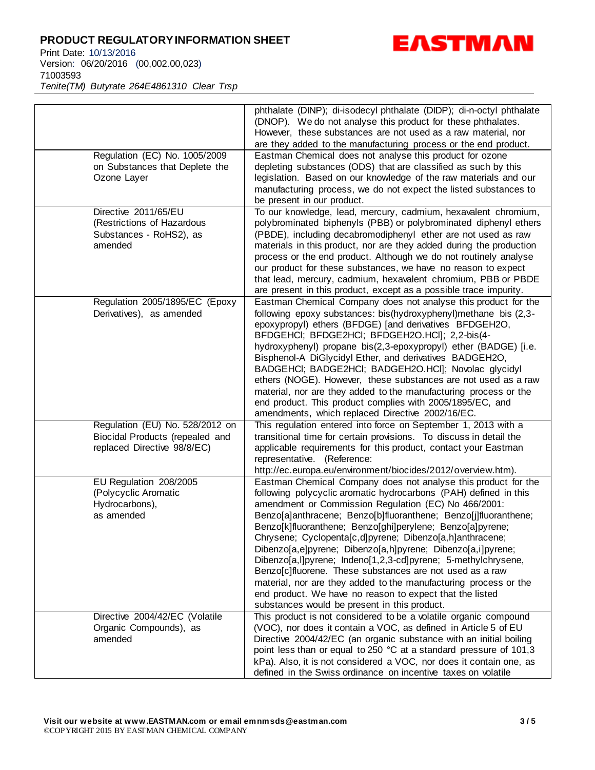Print Date: 10/13/2016 Version: 06/20/2016 (00,002.00,023) 71003593 *Tenite(TM) Butyrate 264E4861310 Clear Trsp*



|                                                                                                   | phthalate (DINP); di-isodecyl phthalate (DIDP); di-n-octyl phthalate<br>(DNOP). We do not analyse this product for these phthalates.<br>However, these substances are not used as a raw material, nor<br>are they added to the manufacturing process or the end product.                                                                                                                                                                                                                                                                                                                                                                                                                                                                                           |
|---------------------------------------------------------------------------------------------------|--------------------------------------------------------------------------------------------------------------------------------------------------------------------------------------------------------------------------------------------------------------------------------------------------------------------------------------------------------------------------------------------------------------------------------------------------------------------------------------------------------------------------------------------------------------------------------------------------------------------------------------------------------------------------------------------------------------------------------------------------------------------|
| Regulation (EC) No. 1005/2009<br>on Substances that Deplete the<br>Ozone Layer                    | Eastman Chemical does not analyse this product for ozone<br>depleting substances (ODS) that are classified as such by this<br>legislation. Based on our knowledge of the raw materials and our<br>manufacturing process, we do not expect the listed substances to<br>be present in our product.                                                                                                                                                                                                                                                                                                                                                                                                                                                                   |
| Directive 2011/65/EU<br>(Restrictions of Hazardous<br>Substances - RoHS2), as<br>amended          | To our knowledge, lead, mercury, cadmium, hexavalent chromium,<br>polybrominated biphenyls (PBB) or polybrominated diphenyl ethers<br>(PBDE), including decabromodiphenyl ether are not used as raw<br>materials in this product, nor are they added during the production<br>process or the end product. Although we do not routinely analyse<br>our product for these substances, we have no reason to expect<br>that lead, mercury, cadmium, hexavalent chromium, PBB or PBDE<br>are present in this product, except as a possible trace impurity.                                                                                                                                                                                                              |
| Regulation 2005/1895/EC (Epoxy<br>Derivatives), as amended                                        | Eastman Chemical Company does not analyse this product for the<br>following epoxy substances: bis(hydroxyphenyl)methane bis (2,3-<br>epoxypropyl) ethers (BFDGE) [and derivatives BFDGEH2O,<br>BFDGEHCI; BFDGE2HCI; BFDGEH2O.HCI]; 2,2-bis(4-<br>hydroxyphenyl) propane bis(2,3-epoxypropyl) ether (BADGE) [i.e.<br>Bisphenol-A DiGlycidyl Ether, and derivatives BADGEH2O,<br>BADGEHCI; BADGE2HCI; BADGEH2O.HCI]; Novolac glycidyl<br>ethers (NOGE). However, these substances are not used as a raw<br>material, nor are they added to the manufacturing process or the<br>end product. This product complies with 2005/1895/EC, and<br>amendments, which replaced Directive 2002/16/EC.                                                                         |
| Regulation (EU) No. 528/2012 on<br>Biocidal Products (repealed and<br>replaced Directive 98/8/EC) | This regulation entered into force on September 1, 2013 with a<br>transitional time for certain provisions. To discuss in detail the<br>applicable requirements for this product, contact your Eastman<br>representative. (Reference:<br>http://ec.europa.eu/environment/biocides/2012/overview.htm).                                                                                                                                                                                                                                                                                                                                                                                                                                                              |
| EU Regulation 208/2005<br>(Polycyclic Aromatic<br>Hydrocarbons),<br>as amended                    | Eastman Chemical Company does not analyse this product for the<br>following polycyclic aromatic hydrocarbons (PAH) defined in this<br>amendment or Commission Regulation (EC) No 466/2001:<br>Benzo[a]anthracene; Benzo[b]fluoranthene; Benzo[j]fluoranthene;<br>Benzo[k]fluoranthene; Benzo[ghi]perylene; Benzo[a]pyrene;<br>Chrysene; Cyclopenta[c,d]pyrene; Dibenzo[a,h]anthracene;<br>Dibenzo[a,e]pyrene; Dibenzo[a,h]pyrene; Dibenzo[a,i]pyrene;<br>Dibenzo[a,l]pyrene; Indeno[1,2,3-cd]pyrene; 5-methylchrysene,<br>Benzo[c]fluorene. These substances are not used as a raw<br>material, nor are they added to the manufacturing process or the<br>end product. We have no reason to expect that the listed<br>substances would be present in this product. |
| Directive 2004/42/EC (Volatile<br>Organic Compounds), as<br>amended                               | This product is not considered to be a volatile organic compound<br>(VOC), nor does it contain a VOC, as defined in Article 5 of EU<br>Directive 2004/42/EC (an organic substance with an initial boiling<br>point less than or equal to 250 °C at a standard pressure of 101,3<br>kPa). Also, it is not considered a VOC, nor does it contain one, as<br>defined in the Swiss ordinance on incentive taxes on volatile                                                                                                                                                                                                                                                                                                                                            |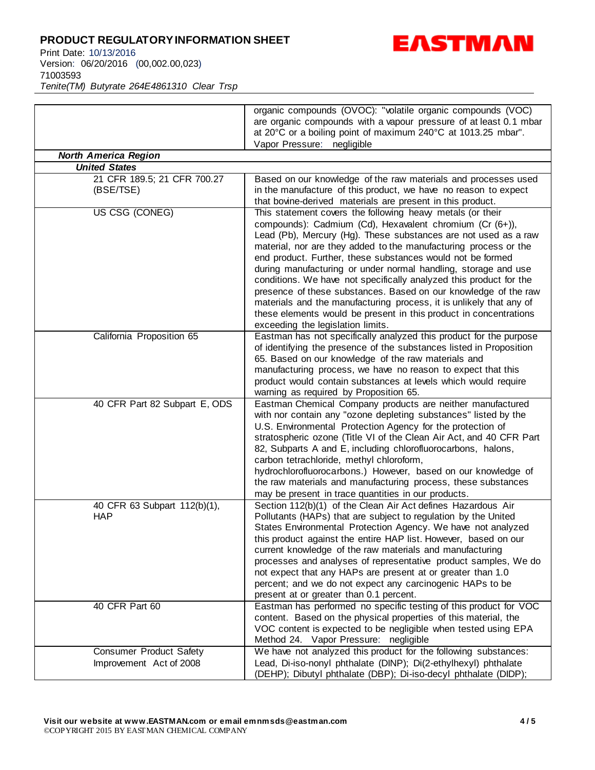Print Date: 10/13/2016 Version: 06/20/2016 (00,002.00,023) 71003593 *Tenite(TM) Butyrate 264E4861310 Clear Trsp*



| organic compounds (OVOC): "volatile organic compounds (VOC)       |
|-------------------------------------------------------------------|
| are organic compounds with a vapour pressure of at least 0.1 mbar |
| at 20°C or a boiling point of maximum 240°C at 1013.25 mbar".     |
| Vapor Pressure: negligible                                        |

| <b>North America Region</b>                               |                                                                                                                                                                                                                                                                                                                                                                                                                                                                                                                                                                                                                                                                                                                         |  |
|-----------------------------------------------------------|-------------------------------------------------------------------------------------------------------------------------------------------------------------------------------------------------------------------------------------------------------------------------------------------------------------------------------------------------------------------------------------------------------------------------------------------------------------------------------------------------------------------------------------------------------------------------------------------------------------------------------------------------------------------------------------------------------------------------|--|
| <b>United States</b>                                      |                                                                                                                                                                                                                                                                                                                                                                                                                                                                                                                                                                                                                                                                                                                         |  |
| 21 CFR 189.5; 21 CFR 700.27<br>(BSE/TSE)                  | Based on our knowledge of the raw materials and processes used<br>in the manufacture of this product, we have no reason to expect<br>that bovine-derived materials are present in this product.                                                                                                                                                                                                                                                                                                                                                                                                                                                                                                                         |  |
| US CSG (CONEG)                                            | This statement covers the following heavy metals (or their<br>compounds): Cadmium (Cd), Hexavalent chromium (Cr (6+)),<br>Lead (Pb), Mercury (Hg). These substances are not used as a raw<br>material, nor are they added to the manufacturing process or the<br>end product. Further, these substances would not be formed<br>during manufacturing or under normal handling, storage and use<br>conditions. We have not specifically analyzed this product for the<br>presence of these substances. Based on our knowledge of the raw<br>materials and the manufacturing process, it is unlikely that any of<br>these elements would be present in this product in concentrations<br>exceeding the legislation limits. |  |
| California Proposition 65                                 | Eastman has not specifically analyzed this product for the purpose<br>of identifying the presence of the substances listed in Proposition<br>65. Based on our knowledge of the raw materials and<br>manufacturing process, we have no reason to expect that this<br>product would contain substances at levels which would require<br>warning as required by Proposition 65.                                                                                                                                                                                                                                                                                                                                            |  |
| 40 CFR Part 82 Subpart E, ODS                             | Eastman Chemical Company products are neither manufactured<br>with nor contain any "ozone depleting substances" listed by the<br>U.S. Environmental Protection Agency for the protection of<br>stratospheric ozone (Title VI of the Clean Air Act, and 40 CFR Part<br>82, Subparts A and E, including chlorofluorocarbons, halons,<br>carbon tetrachloride, methyl chloroform,<br>hydrochlorofluorocarbons.) However, based on our knowledge of<br>the raw materials and manufacturing process, these substances<br>may be present in trace quantities in our products.                                                                                                                                                 |  |
| 40 CFR 63 Subpart 112(b)(1),<br><b>HAP</b>                | Section 112(b)(1) of the Clean Air Act defines Hazardous Air<br>Pollutants (HAPs) that are subject to regulation by the United<br>States Environmental Protection Agency. We have not analyzed<br>this product against the entire HAP list. However, based on our<br>current knowledge of the raw materials and manufacturing<br>processes and analyses of representative product samples, We do<br>not expect that any HAPs are present at or greater than 1.0<br>percent; and we do not expect any carcinogenic HAPs to be<br>present at or greater than 0.1 percent.                                                                                                                                                 |  |
| 40 CFR Part 60                                            | Eastman has performed no specific testing of this product for VOC<br>content. Based on the physical properties of this material, the<br>VOC content is expected to be negligible when tested using EPA<br>Method 24. Vapor Pressure: negligible                                                                                                                                                                                                                                                                                                                                                                                                                                                                         |  |
| <b>Consumer Product Safety</b><br>Improvement Act of 2008 | We have not analyzed this product for the following substances:<br>Lead, Di-iso-nonyl phthalate (DINP); Di(2-ethylhexyl) phthalate<br>(DEHP); Dibutyl phthalate (DBP); Di-iso-decyl phthalate (DIDP);                                                                                                                                                                                                                                                                                                                                                                                                                                                                                                                   |  |